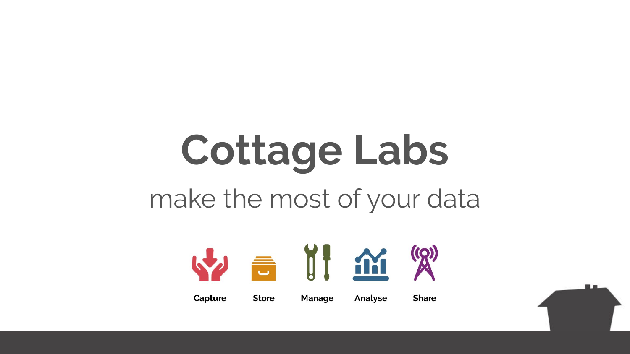# **Cottage Labs** make the most of your data



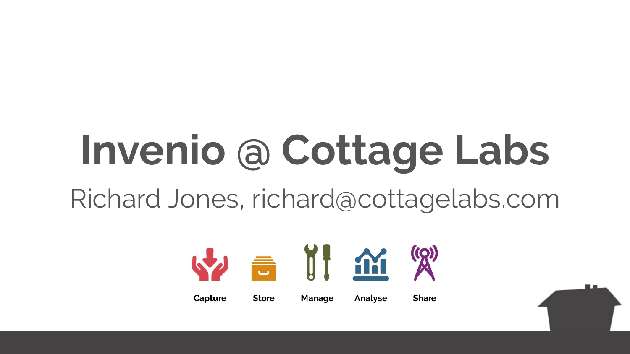# **Invenio @ Cottage Labs**

Richard Jones, richard@cottagelabs.com



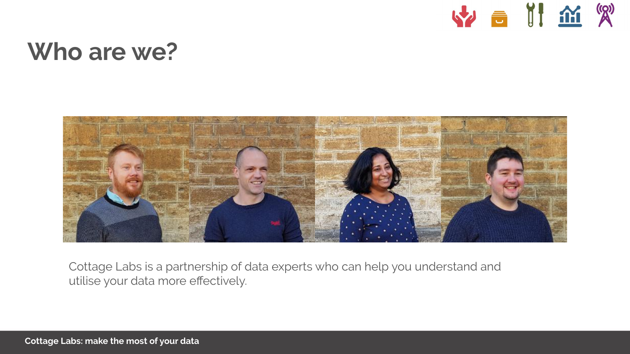

#### **Who are we?**



Cottage Labs is a partnership of data experts who can help you understand and utilise your data more effectively.

**Cottage Labs: make the most of your data**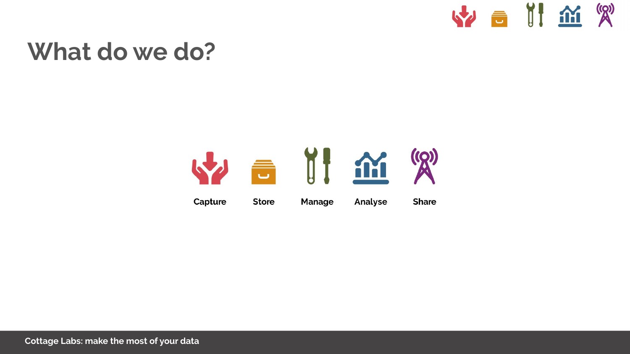

#### **What do we do?**

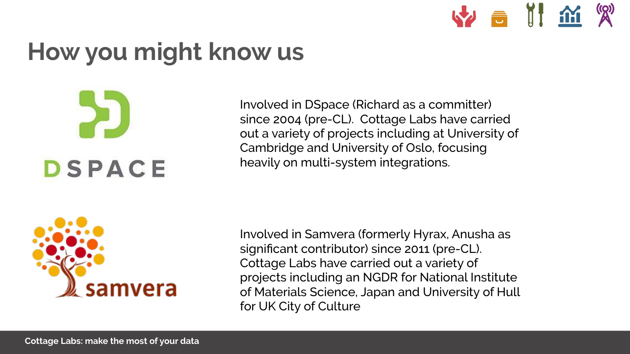

# **How you might know us**



Involved in DSpace (Richard as a committer) since 2004 (pre-CL). Cottage Labs have carried out a variety of projects including at University of Cambridge and University of Oslo, focusing heavily on multi-system integrations.



Involved in Samvera (formerly Hyrax, Anusha as significant contributor) since 2011 (pre-CL). Cottage Labs have carried out a variety of projects including an NGDR for National Institute of Materials Science, Japan and University of Hull for UK City of Culture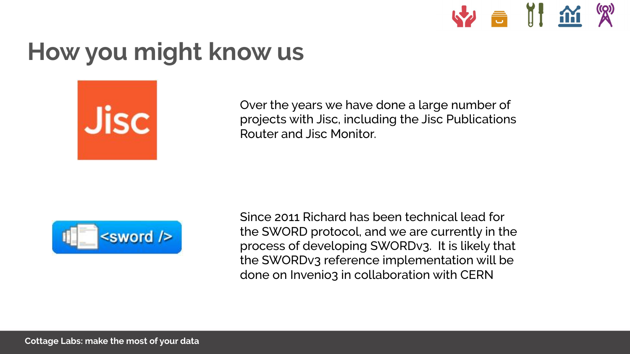

### **How you might know us**



Over the years we have done a large number of projects with Jisc, including the Jisc Publications Router and Jisc Monitor.



Since 2011 Richard has been technical lead for the SWORD protocol, and we are currently in the process of developing SWORDv3. It is likely that the SWORDv3 reference implementation will be done on Invenio3 in collaboration with CERN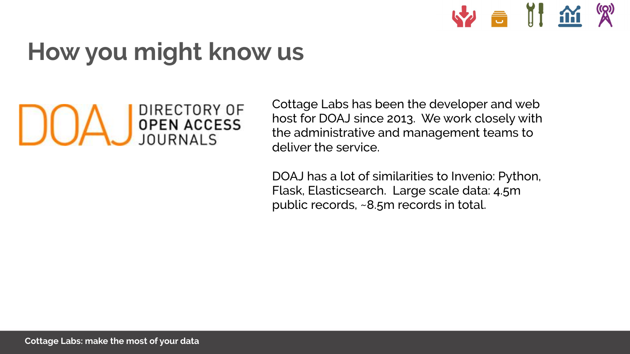# **How you might know us**



Cottage Labs has been the developer and web host for DOAJ since 2013. We work closely with the administrative and management teams to deliver the service.

W a II m &

DOAJ has a lot of similarities to Invenio: Python, Flask, Elasticsearch. Large scale data: 4.5m public records, ~8.5m records in total.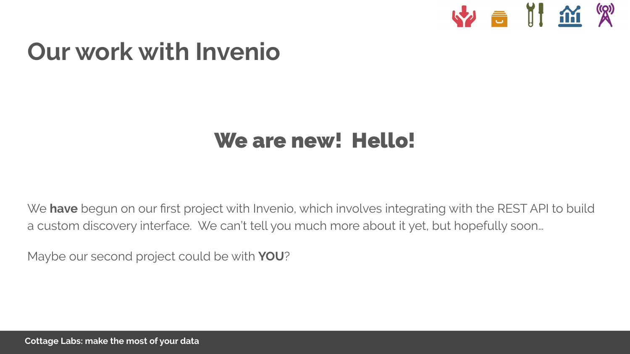

#### **Our work with Invenio**

#### We are new! Hello!

We **have** begun on our first project with Invenio, which involves integrating with the REST API to build a custom discovery interface. We can't tell you much more about it yet, but hopefully soon…

Maybe our second project could be with **YOU**?